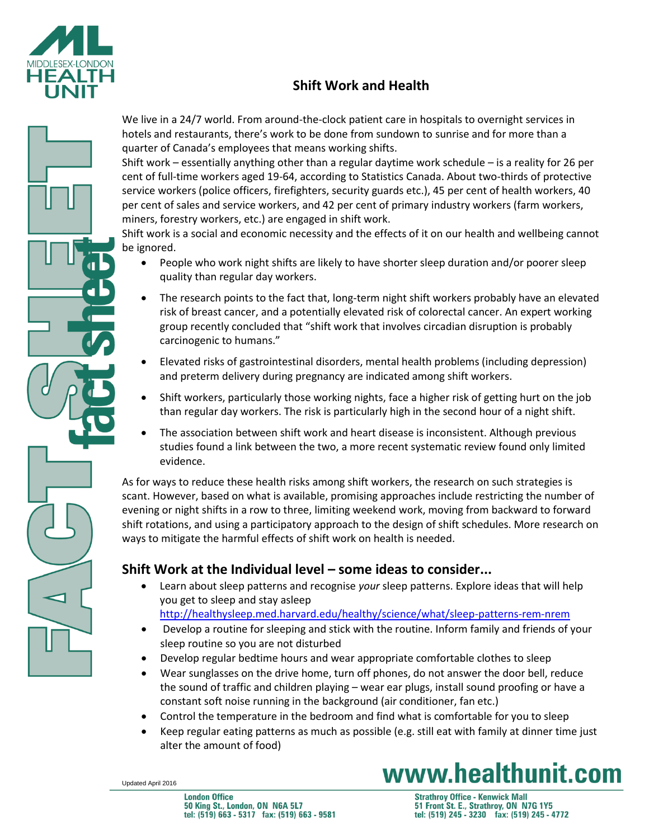

## **Shift Work and Health**



We live in a 24/7 world. From around-the-clock patient care in hospitals to overnight services in hotels and restaurants, there's work to be done from sundown to sunrise and for more than a quarter of Canada's employees that means working shifts.

Shift work – essentially anything other than a regular daytime work schedule – is a reality for 26 per cent of full-time workers aged 19-64, according to Statistics Canada. About two-thirds of protective service workers (police officers, firefighters, security guards etc.), 45 per cent of health workers, 40 per cent of sales and service workers, and 42 per cent of primary industry workers (farm workers, miners, forestry workers, etc.) are engaged in shift work.

Shift work is a social and economic necessity and the effects of it on our health and wellbeing cannot be ignored.

- People who work night shifts are likely to have shorter sleep duration and/or poorer sleep quality than regular day workers.
- The research points to the fact that, long-term night shift workers probably have an elevated risk of breast cancer, and a potentially elevated risk of colorectal cancer. An expert working group recently concluded that "shift work that involves circadian disruption is probably carcinogenic to humans."
- Elevated risks of gastrointestinal disorders, mental health problems (including depression) and preterm delivery during pregnancy are indicated among shift workers.
- Shift workers, particularly those working nights, face a higher risk of getting hurt on the job than regular day workers. The risk is particularly high in the second hour of a night shift.
- The association between shift work and heart disease is inconsistent. Although previous studies found a link between the two, a more recent systematic review found only limited evidence.

As for ways to reduce these health risks among shift workers, the research on such strategies is scant. However, based on what is available, promising approaches include restricting the number of evening or night shifts in a row to three, limiting weekend work, moving from backward to forward shift rotations, and using a participatory approach to the design of shift schedules. More research on ways to mitigate the harmful effects of shift work on health is needed.

### **Shift Work at the Individual level – some ideas to consider...**

- Learn about sleep patterns and recognise *your* sleep patterns. Explore ideas that will help you get to sleep and stay asleep <http://healthysleep.med.harvard.edu/healthy/science/what/sleep-patterns-rem-nrem>
- Develop a routine for sleeping and stick with the routine. Inform family and friends of your sleep routine so you are not disturbed
- Develop regular bedtime hours and wear appropriate comfortable clothes to sleep
- Wear sunglasses on the drive home, turn off phones, do not answer the door bell, reduce the sound of traffic and children playing – wear ear plugs, install sound proofing or have a constant soft noise running in the background (air conditioner, fan etc.)
- Control the temperature in the bedroom and find what is comfortable for you to sleep
- Keep regular eating patterns as much as possible (e.g. still eat with family at dinner time just alter the amount of food)

Updated April 2016

www.healthunit.com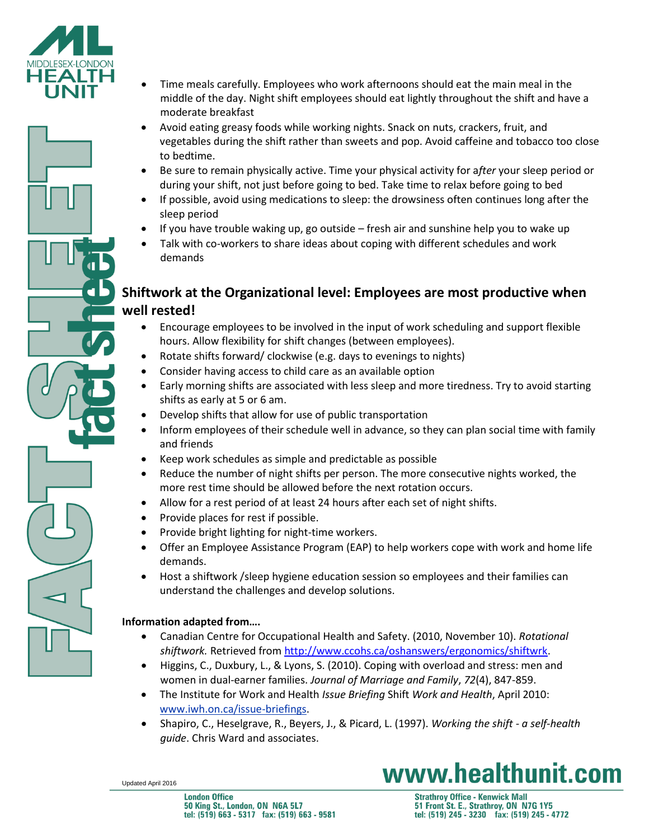



- Avoid eating greasy foods while working nights. Snack on nuts, crackers, fruit, and vegetables during the shift rather than sweets and pop. Avoid caffeine and tobacco too close to bedtime.
- Be sure to remain physically active. Time your physical activity for a*fter* your sleep period or during your shift, not just before going to bed. Take time to relax before going to bed
- If possible, avoid using medications to sleep: the drowsiness often continues long after the sleep period
- If you have trouble waking up, go outside fresh air and sunshine help you to wake up
- Talk with co-workers to share ideas about coping with different schedules and work demands

### **Shiftwork at the Organizational level: Employees are most productive when well rested!**

- Encourage employees to be involved in the input of work scheduling and support flexible hours. Allow flexibility for shift changes (between employees).
- Rotate shifts forward/ clockwise (e.g. days to evenings to nights)
- Consider having access to child care as an available option
- Early morning shifts are associated with less sleep and more tiredness. Try to avoid starting shifts as early at 5 or 6 am.
- Develop shifts that allow for use of public transportation
- Inform employees of their schedule well in advance, so they can plan social time with family and friends
- Keep work schedules as simple and predictable as possible
- Reduce the number of night shifts per person. The more consecutive nights worked, the more rest time should be allowed before the next rotation occurs.
- Allow for a rest period of at least 24 hours after each set of night shifts.
- Provide places for rest if possible.
- Provide bright lighting for night-time workers.
- Offer an Employee Assistance Program (EAP) to help workers cope with work and home life demands.
- Host a shiftwork /sleep hygiene education session so employees and their families can understand the challenges and develop solutions.

#### **Information adapted from….**

- Canadian Centre for Occupational Health and Safety. (2010, November 10). *Rotational shiftwork.* Retrieved from [http://www.ccohs.ca/oshanswers/ergonomics/shiftwrk.](http://www.ccohs.ca/oshanswers/ergonomics/shiftwrk)
- Higgins, C., Duxbury, L., & Lyons, S. (2010). Coping with overload and stress: men and women in dual-earner families. *Journal of Marriage and Family*, *72*(4), 847-859.
- The Institute for Work and Health *Issue Briefing* Shift *Work and Health*, April 2010: [www.iwh.on.ca/issue-briefings.](http://www.iwh.on.ca/issue-briefings)
- Shapiro, C., Heselgrave, R., Beyers, J., & Picard, L. (1997). *Working the shift - a self-health guide*. Chris Ward and associates.

Updated April 2016

www.healthunit.com